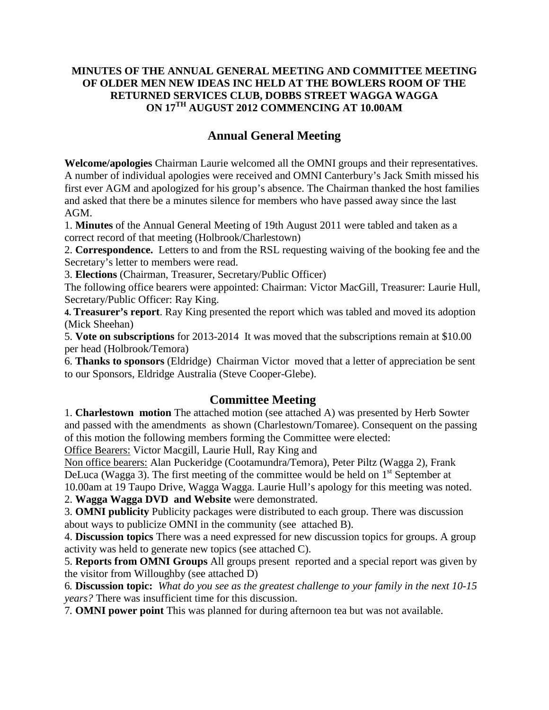## **MINUTES OF THE ANNUAL GENERAL MEETING AND COMMITTEE MEETING OF OLDER MEN NEW IDEAS INC HELD AT THE BOWLERS ROOM OF THE RETURNED SERVICES CLUB, DOBBS STREET WAGGA WAGGA ON 17TH AUGUST 2012 COMMENCING AT 10.00AM**

# **Annual General Meeting**

**Welcome/apologies** Chairman Laurie welcomed all the OMNI groups and their representatives. A number of individual apologies were received and OMNI Canterbury's Jack Smith missed his first ever AGM and apologized for his group's absence. The Chairman thanked the host families and asked that there be a minutes silence for members who have passed away since the last AGM.

1. **Minutes** of the Annual General Meeting of 19th August 2011 were tabled and taken as a correct record of that meeting (Holbrook/Charlestown)

2. **Correspondence.** Letters to and from the RSL requesting waiving of the booking fee and the Secretary's letter to members were read.

3. **Elections** (Chairman, Treasurer, Secretary/Public Officer)

The following office bearers were appointed: Chairman: Victor MacGill, Treasurer: Laurie Hull, Secretary/Public Officer: Ray King.

**4. Treasurer's report**. Ray King presented the report which was tabled and moved its adoption (Mick Sheehan)

5. **Vote on subscriptions** for 2013-2014 It was moved that the subscriptions remain at \$10.00 per head (Holbrook/Temora)

6. **Thanks to sponsors** (Eldridge) Chairman Victor moved that a letter of appreciation be sent to our Sponsors, Eldridge Australia (Steve Cooper-Glebe).

# **Committee Meeting**

1. **Charlestown motion** The attached motion (see attached A) was presented by Herb Sowter and passed with the amendments as shown (Charlestown/Tomaree). Consequent on the passing of this motion the following members forming the Committee were elected:

Office Bearers: Victor Macgill, Laurie Hull, Ray King and

Non office bearers: Alan Puckeridge (Cootamundra/Temora), Peter Piltz (Wagga 2), Frank DeLuca (Wagga 3). The first meeting of the committee would be held on  $1<sup>st</sup>$  September at 10.00am at 19 Taupo Drive, Wagga Wagga. Laurie Hull's apology for this meeting was noted.

2. **Wagga Wagga DVD and Website** were demonstrated.

3. **OMNI publicity** Publicity packages were distributed to each group. There was discussion about ways to publicize OMNI in the community (see attached B).

4. **Discussion topics** There was a need expressed for new discussion topics for groups. A group activity was held to generate new topics (see attached C).

5. **Reports from OMNI Groups** All groups present reported and a special report was given by the visitor from Willoughby (see attached D)

6*.* **Discussion topic:** *What do you see as the greatest challenge to your family in the next 10-15 years?* There was insufficient time for this discussion.

7*.* **OMNI power point** This was planned for during afternoon tea but was not available.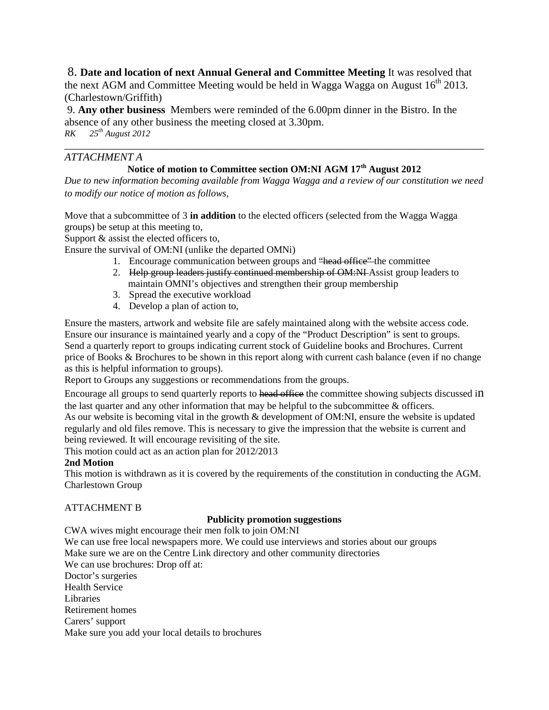8. **Date and location of next Annual General and Committee Meeting** It was resolved that the next AGM and Committee Meeting would be held in Wagga Wagga on August  $16<sup>th</sup>$  2013. (Charlestown/Griffith)

9. **Any other business** Members were reminded of the 6.00pm dinner in the Bistro. In the absence of any other business the meeting closed at 3.30pm. *RK 25th August 2012*

### *ATTACHMENT A*

# **Notice of motion to Committee section OM:NI AGM 17th August 2012**

*\_\_\_\_\_\_\_\_\_\_\_\_\_\_\_\_\_\_\_\_\_\_\_\_\_\_\_\_\_\_\_\_\_\_\_\_\_\_\_\_\_\_\_\_\_\_\_\_\_\_\_\_\_\_\_\_\_\_\_\_\_\_\_\_\_\_\_\_\_\_\_\_\_\_\_\_\_\_*

*Due to new information becoming available from Wagga Wagga and a review of our constitution we need to modify our notice of motion as follows,*

Move that a subcommittee of 3 **in addition** to the elected officers (selected from the Wagga Wagga groups) be setup at this meeting to,

Support & assist the elected officers to,

Ensure the survival of OM:NI (unlike the departed OMNi)

- 1. Encourage communication between groups and "head office" the committee
- 2. Help group leaders justify continued membership of OM:NI Assist group leaders to maintain OMNI's objectives and strengthen their group membership
- 3. Spread the executive workload
- 4. Develop a plan of action to,

Ensure the masters, artwork and website file are safely maintained along with the website access code. Ensure our insurance is maintained yearly and a copy of the "Product Description" is sent to groups. Send a quarterly report to groups indicating current stock of Guideline books and Brochures. Current price of Books & Brochures to be shown in this report along with current cash balance (even if no change as this is helpful information to groups).

Report to Groups any suggestions or recommendations from the groups.

Encourage all groups to send quarterly reports to head office the committee showing subjects discussed in the last quarter and any other information that may be helpful to the subcommittee  $\&$  officers. As our website is becoming vital in the growth & development of OM:NI, ensure the website is updated regularly and old files remove. This is necessary to give the impression that the website is current and being reviewed. It will encourage revisiting of the site.

This motion could act as an action plan for 2012/2013

#### **2nd Motion**

This motion is withdrawn as it is covered by the requirements of the constitution in conducting the AGM. Charlestown Group

#### ATTACHMENT B

#### **Publicity promotion suggestions**

CWA wives might encourage their men folk to join OM:NI

We can use free local newspapers more. We could use interviews and stories about our groups Make sure we are on the Centre Link directory and other community directories We can use brochures: Drop off at: Doctor's surgeries Health Service Libraries Retirement homes Carers' support Make sure you add your local details to brochures